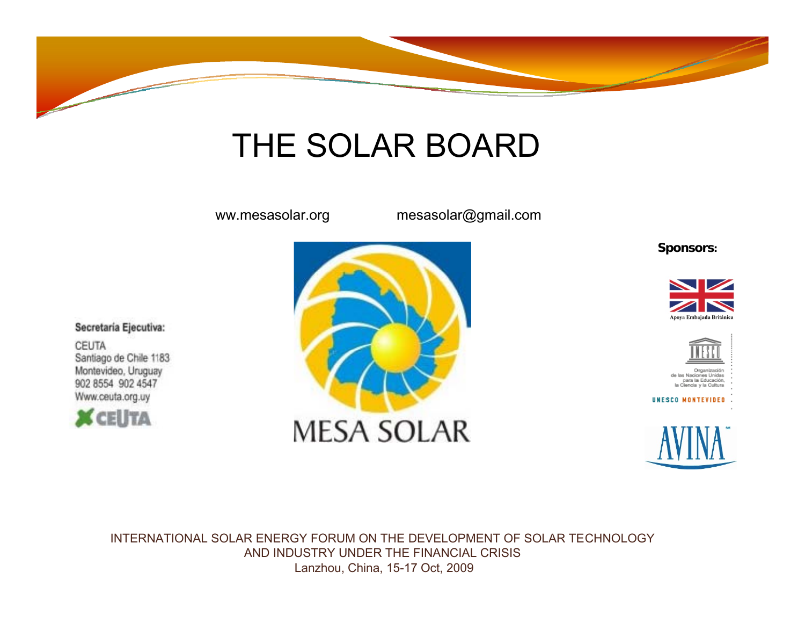

## THE SOLAR BOARD

ww.mesasolar.org mesasolar@gmail.com

**Sponsors:**





UNESCO MONTEVIDEO



INTERNATIONAL SOLAR ENERGY FORUM ON THE DEVELOPMENT OF SOLAR TECHNOLOGY AND INDUSTRY UNDER THE FINANCIAL CRISISLanzhou, China, 15-17 Oct, 2009

Secretaría Ejecutiva:

**CEUTA** Santiago de Chile 1183 Montevideo, Uruguay 902 8554 902 4547 Www.ceuta.org.uy



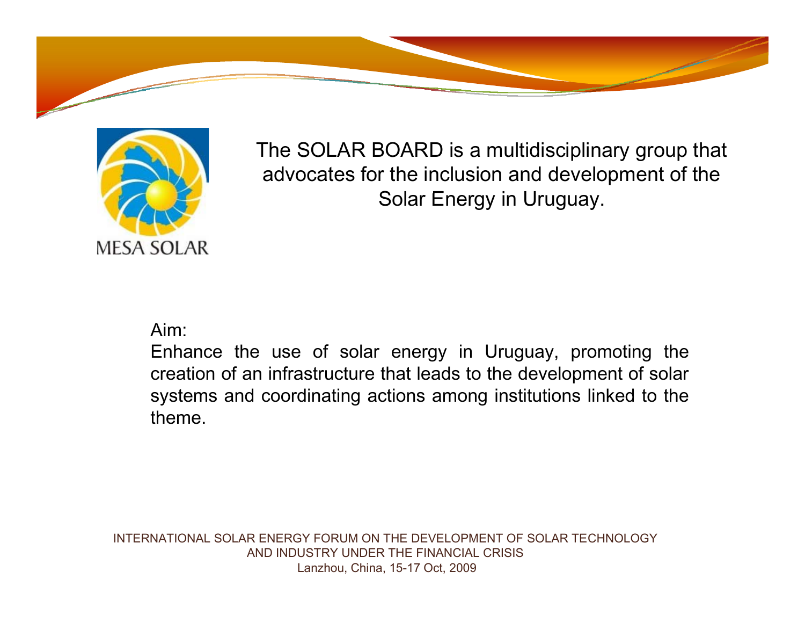



The SOLAR BOARD is a multidisciplinary group that advocates for the inclusion and development of the Solar Energy in Uruguay.

Aim:

Enhance the use of solar energy in Uruguay, promoting the creation of an infrastructure that leads to the development of solar systems and coordinating actions among institutions linked to the theme.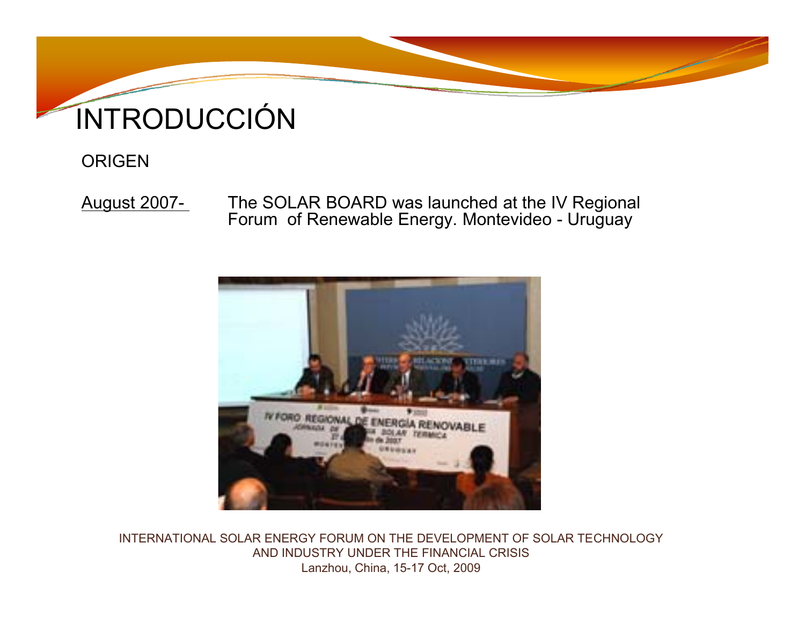

## INTRODUCCIÓN

### **ORIGEN**

August 2007- The SOLAR BOARD was launched at the IV Regional Forum of Renewable Energy. Montevideo - Uruguay

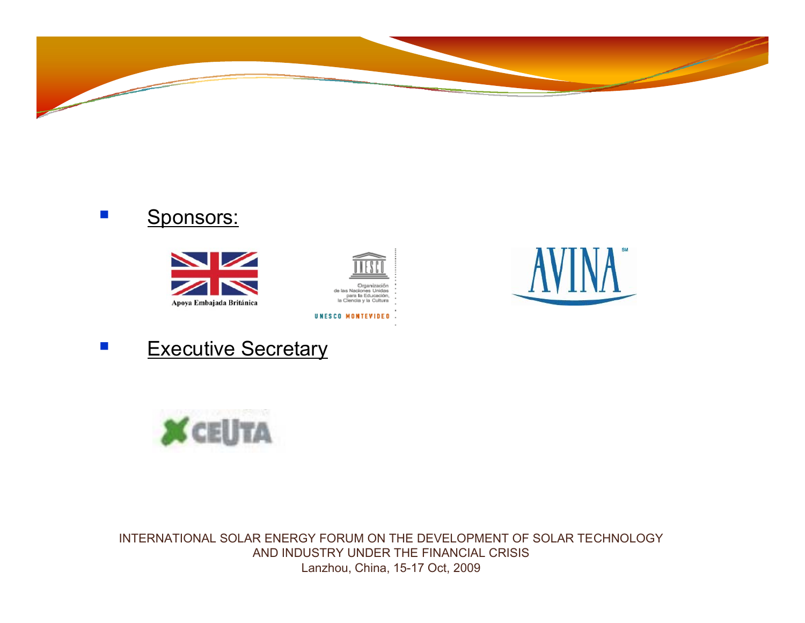







UNESCO MONTEVIDEO





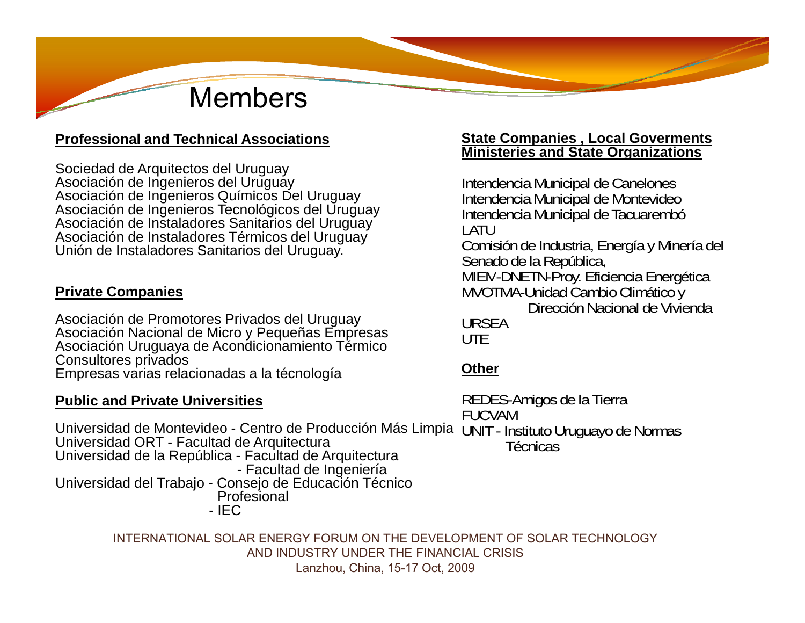## Members

#### **Professional and Technical Associations**

Sociedad de Arquitectos del Uruguay Asociación de Ingenieros del Uruguay Asociación de Ingenieros Q ímicos Del Ur g <sup>a</sup> Intendencia Municipal de Canelones Ingenieros uímicos uu Asociación de Ingenieros Tecnológicos del Uruguay Asociación de Instaladores Sanitarios del Uruguay Asociación de Instaladores Térmicos del Uruguay Unión de Instaladores Sanitarios del Uruguay.

#### **Private Companies**

Asociación de Promotores Privados del Uruguay Asociación Nacional de Micro y Pequeñas Empresas Asociación Uruguaya de Acondicionamiento Térmico Consultores privados Empresas varias relacionadas a la técnología

#### **Public and Private Universities**

Universidad de Montevideo Centro de Producción Más Limpia UNIT Instituto Uruguayo de Normas - Universidad ORT - Facultad de Arquitectura - Universidad de la República - Facultad de Arquitectura - Facultad de Ingeniería Universidad del Trabajo - Consejo de Educación Técnico Profesional - IEC

INTERNATIONAL SOLAR ENERGY FORUM ON THE DEVELOPMENT OF SOLAR TECHNOLOGY AND INDUSTRY UNDER THE FINANCIAL CRISIS Lanzhou, China, 15-17 Oct, 2009

#### **State Companies , Local Goverments Ministeries and State Organizations**

y lntendencia Municipal de Montevideo Intendencia Municipal de Tacuarembó LATUComisión de Industria, Energía y Minería del Senado de la República, MIEM-DNETN-Proy. Eficiencia Energética MVOTMA-Unidad Cambio Climático y Dirección Nacional de ViviendaURSEAUTE

#### **Other**

REDES-Amigos de la Tierra FUCVAM

Técnicas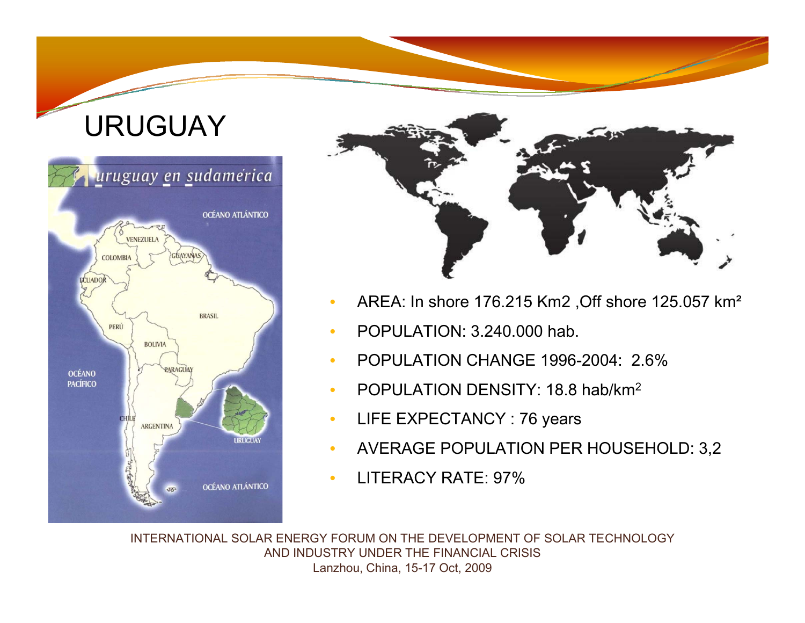## URUGUAY





- •AREA: In shore 176.215 Km2 ,Off shore 125.057 km²
- •POPULATION: 3.240.000 hab.
- •POPULATION CHANGE 1996-2004: 2.6%
- •POPULATION DENSITY: 18.8 hab/km2
- $\bullet$ LIFE EXPECTANCY : 76 years
- •AVERAGE POPULATION PER HOUSEHOLD: 3,2
- •LITERACY RATE: 97%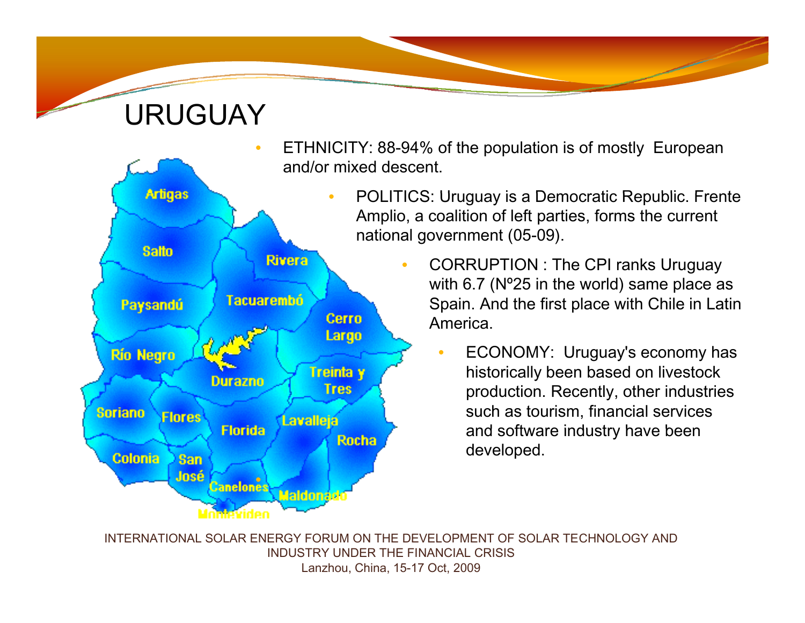### URUGUAY



- ETHNICITY: 88-94% of the population is of mostly European and/or mixed descent.
	- POLITICS: Uruguay is a Democratic Republic. Frente Amplio, a coalition of left parties, forms the current national government (05-09).
		- CORRUPTION : The CPI ranks Uruguay with 6.7 (N°25 in the world) same place as Spain. And the first place with Chile in Latin America.
			- • ECONOMY: Uruguay's economy has historically been based on livestock production. Recently, other industries such as tourism, financial services and software industry have been developed.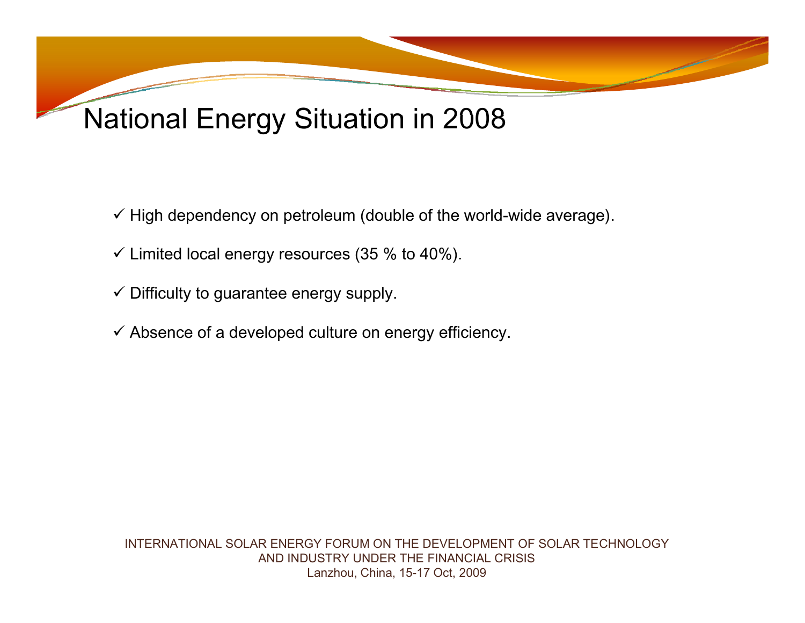## National Energy Situation in 2008

- $\checkmark$  High dependency on petroleum (double of the world-wide average).
- $\checkmark$  Limited local energy resources (35 % to 40%).
- $\checkmark$  Difficulty to guarantee energy supply.
- $\checkmark$  Absence of a developed culture on energy efficiency.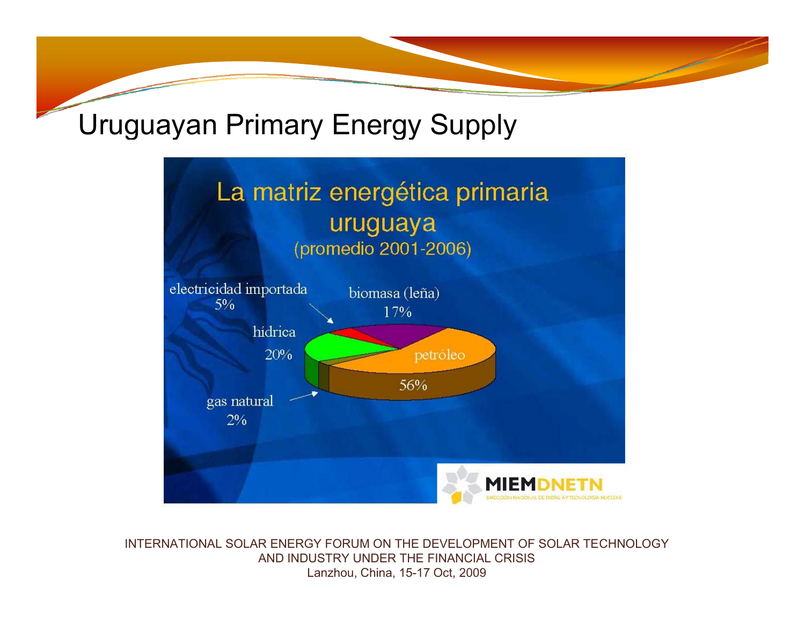## Uruguayan Primary Energy Supply

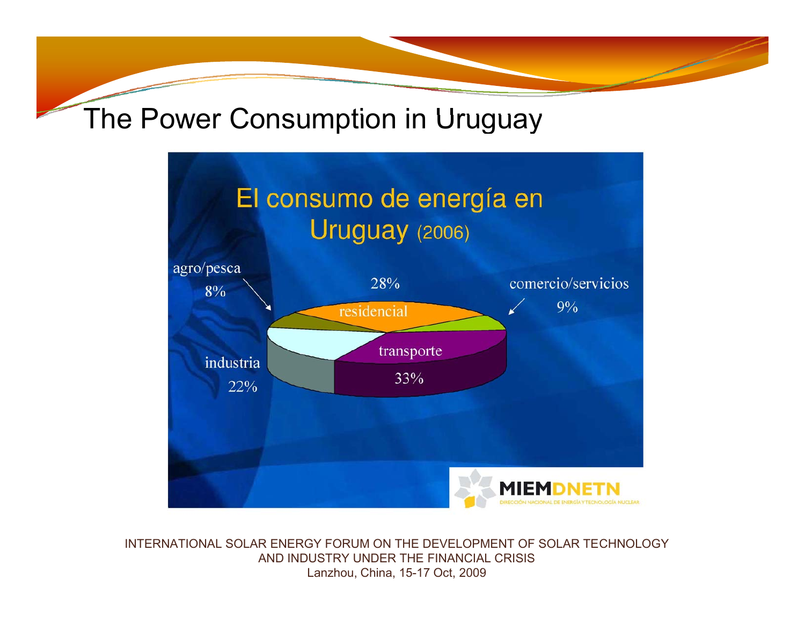## The Power Consumption in Uruguay

## El consumo de energía en Uruguay (2006)

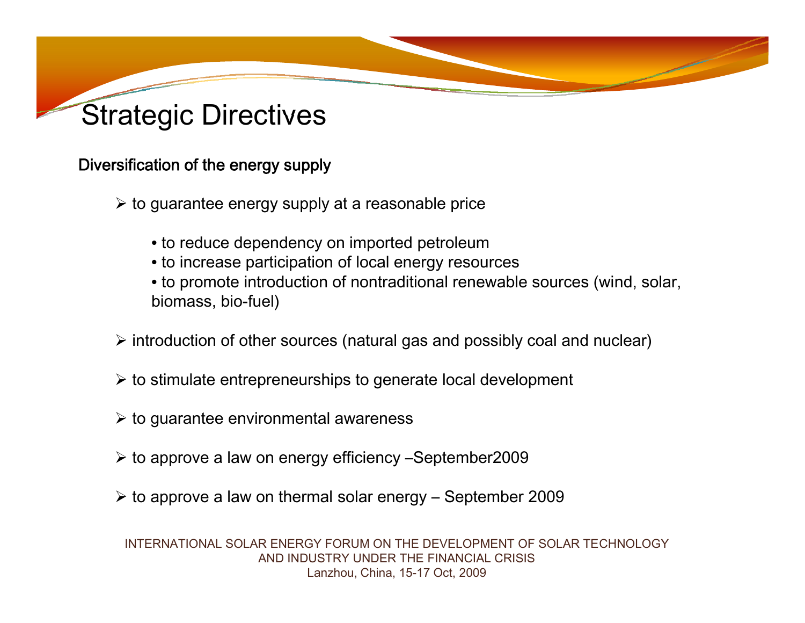

### Diversification of the energy supply

- $\triangleright$  to guarantee energy supply at a reasonable price
	- to reduce dependency on imported petroleum
	- to increase participation of local energy resources
	- to promote introduction of nontraditional renewable sources (wind, solar, biomass, bio-fuel)
- $\triangleright$  introduction of other sources (natural gas and possibly coal and nuclear)
- $\triangleright$  to stimulate entrepreneurships to generate local development
- $\triangleright$  to guarantee environmental awareness
- ¾ to approve a law on energy efficiency –September2009
- $\triangleright$  to approve a law on thermal solar energy September 2009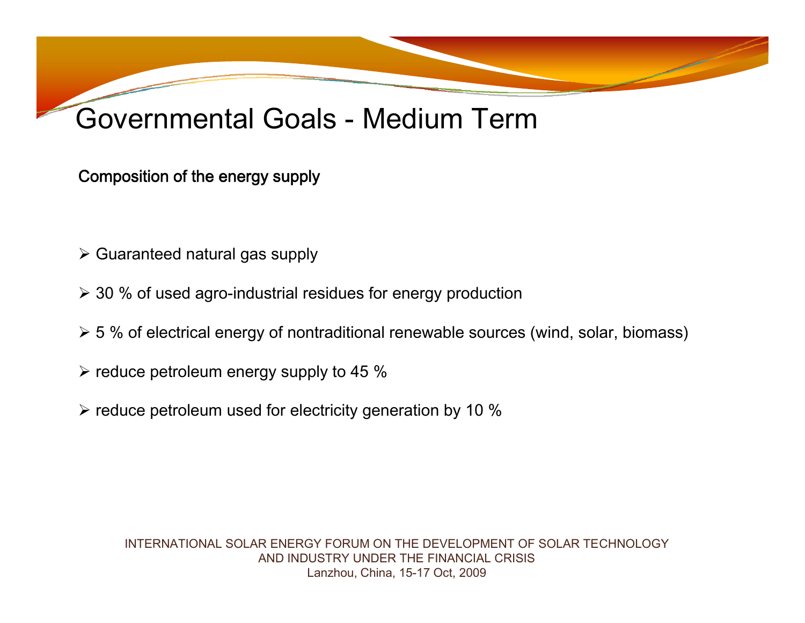#### Governmental Goals - Medium Term

### Composition of the energy supply

- $\triangleright$  Guaranteed natural gas supply
- $\geq$  30 % of used agro-industrial residues for energy production
- $\triangleright$  5 % of electrical energy of nontraditional renewable sources (wind, solar, biomass)
- $\triangleright$  reduce petroleum energy supply to 45 %
- $\triangleright$  reduce petroleum used for electricity generation by 10 %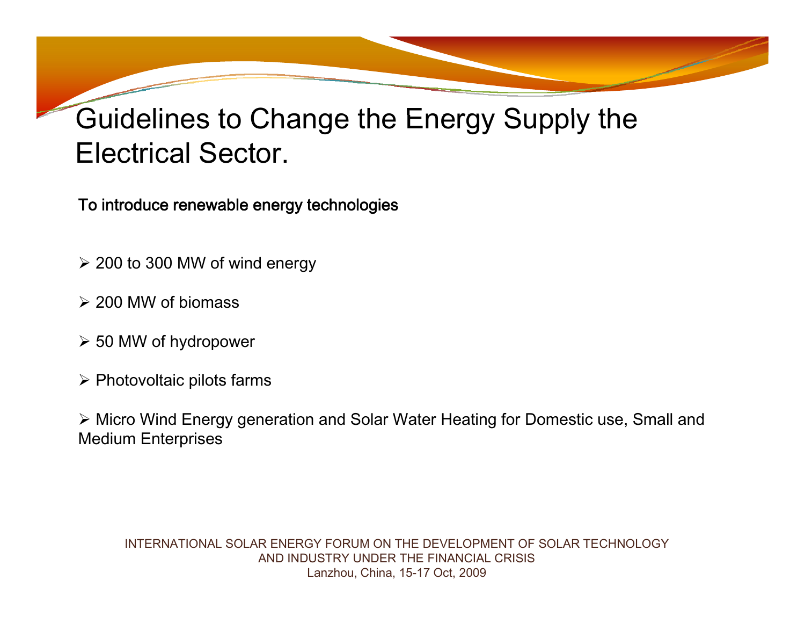## Guidelines to Change the Energy Supply the Electrical Sector.

To introduce renewable energy technologies

- $\geq$  200 to 300 MW of wind energy
- ¾ 200 MW of biomass
- ¾ 50 MW of h ydropower
- $\triangleright$  Photovoltaic pilots farms

¾ Micro Wind Energy generation and Solar Water Heating for Domestic use, Small and Medium Enterprises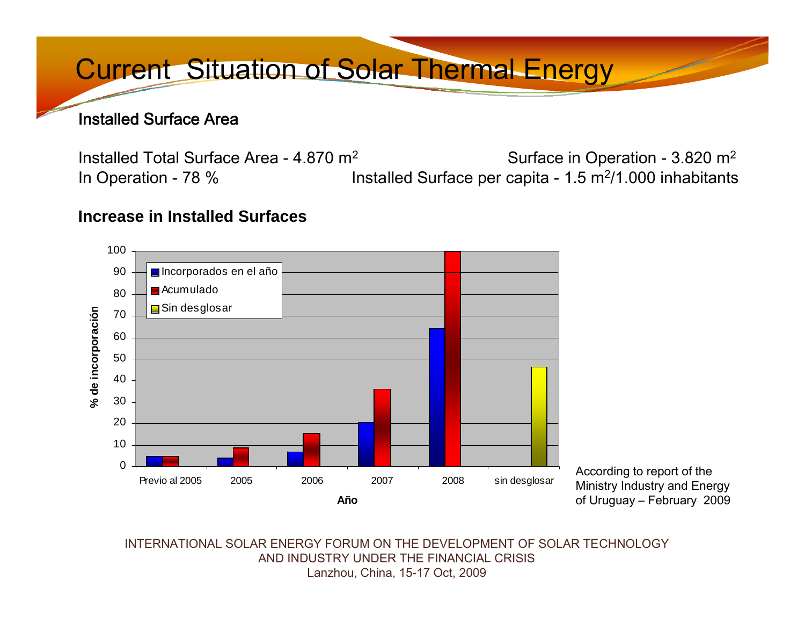## Current Situation of Solar Thermal Energy

#### Installed Surface Area

Installed Total Surface Area - 4.870 m2 Surface in Operation - 3.820 m2 In Operation - 78 % Installed Surface per capita - 1.5 m<sup>2</sup>/1.000 inhabitants

#### **Increase in Installed Surfaces**



According to report of the Ministry Industry and Energy of Uruguay – February 2009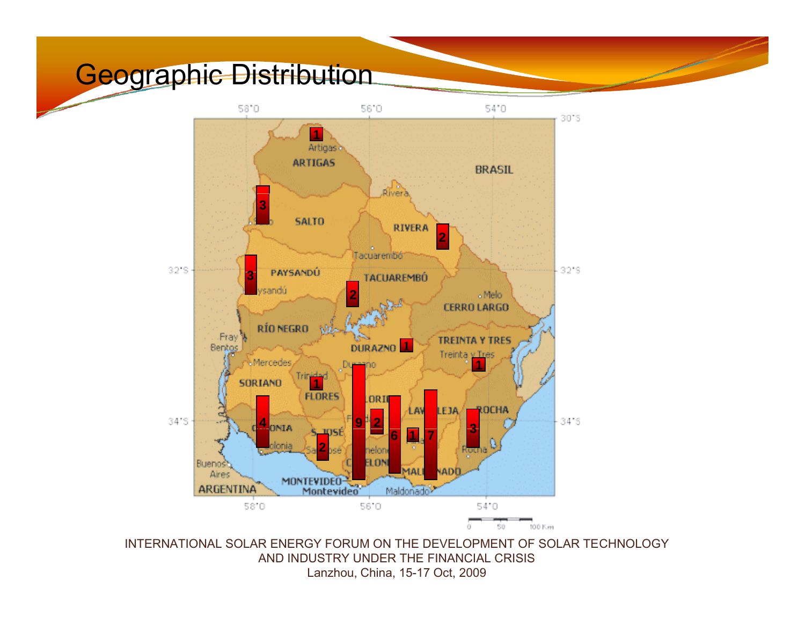### Geographic Distribution

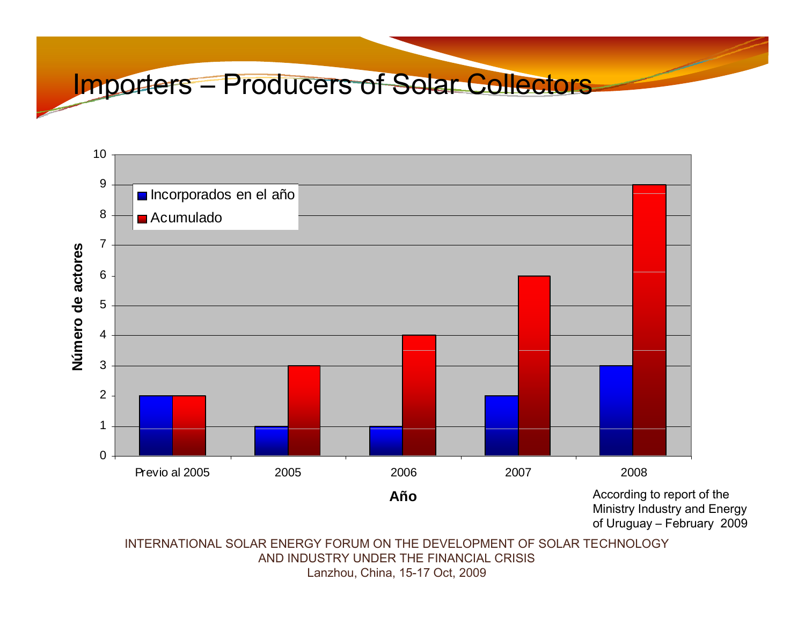### Importers – Producers of Solar Collectors

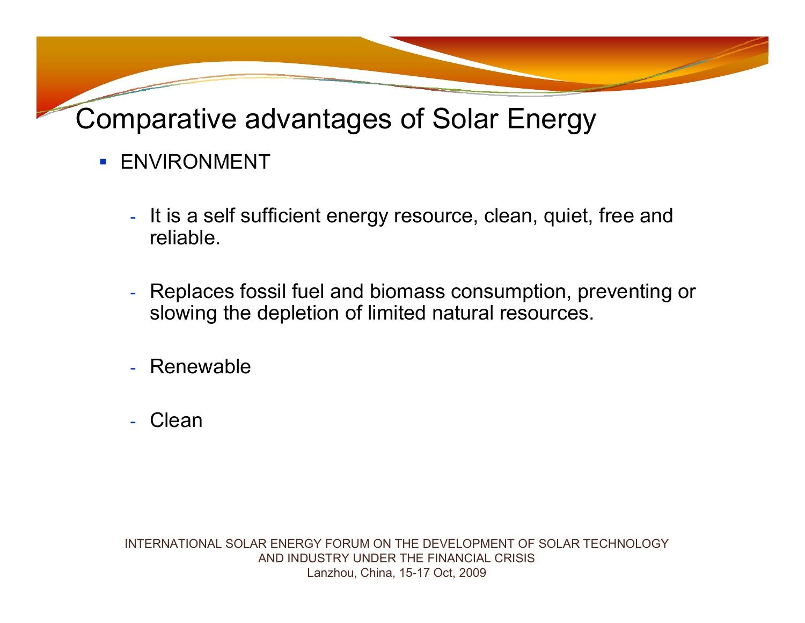Comparative advantages of Solar Energy

- **ENVIRONMENT** 
	- It is a self sufficient energy resource, clean, quiet, free and reliable.
	- - Replaces fossil fuel and biomass consumption, preventing or slowing the depletion of limited natural resources.
	- -Renewable
	- Clean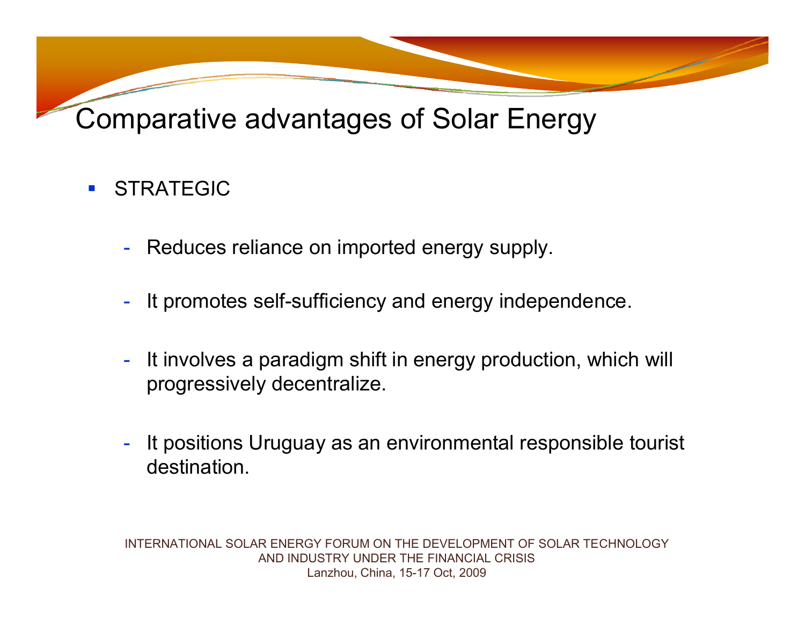## Comparative advantages of Solar Energy

#### $\mathcal{L}^{\mathcal{L}}$ STRATEGIC

- -Reduces reliance on imported energy supply.
- -It promotes self-sufficiency and energy independence.
- - It involves a paradigm shift in energy production, which will progressively decentralize.
- - It positions Uruguay as an environmental responsible tourist destination.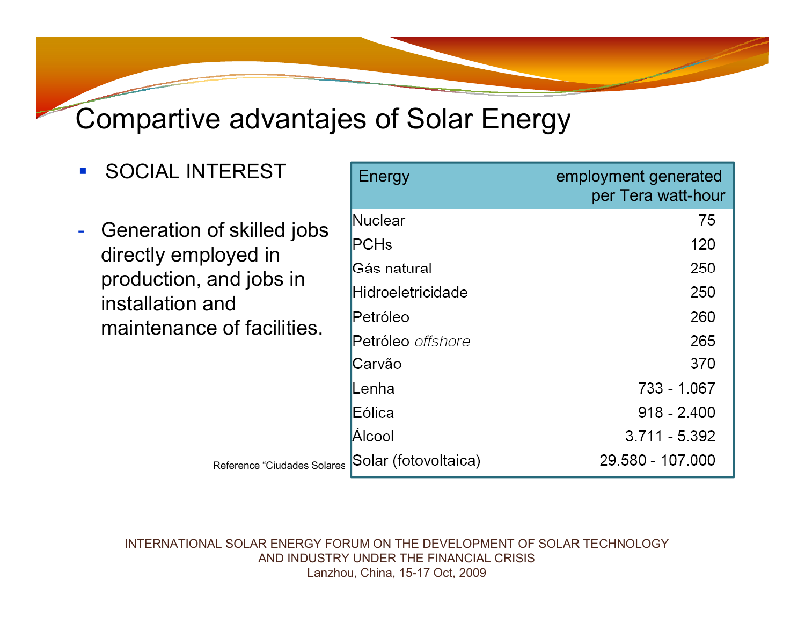## Compartive advantajes of Solar Energy

- $\mathcal{L}_{\mathcal{A}}$ SOCIAL INTEREST
- -**Generation of skilled jobs** directly employed in duction, and jobs in installation and maintenance of facilities.

| <b>SOCIAL INTEREST</b>                                                                                                          | Energy               | employment generated<br>per Tera watt-hour |
|---------------------------------------------------------------------------------------------------------------------------------|----------------------|--------------------------------------------|
| Generation of skilled jobs<br>directly employed in<br>production, and jobs in<br>installation and<br>maintenance of facilities. | Nuclear              | 75                                         |
|                                                                                                                                 | PCHs                 | 120                                        |
|                                                                                                                                 | Gás natural          | 250                                        |
|                                                                                                                                 | Hidroeletricidade    | 250                                        |
|                                                                                                                                 | Petróleo             | 260                                        |
|                                                                                                                                 | Petróleo offshore    | 265                                        |
|                                                                                                                                 | Carvão               | 370                                        |
|                                                                                                                                 | Lenha                | 733 - 1.067                                |
|                                                                                                                                 | Eólica               | $918 - 2.400$                              |
|                                                                                                                                 | Alcool               | $3.711 - 5.392$                            |
| Reference "Ciudades Solares                                                                                                     | Solar (fotovoltaica) | 29.580 - 107.000                           |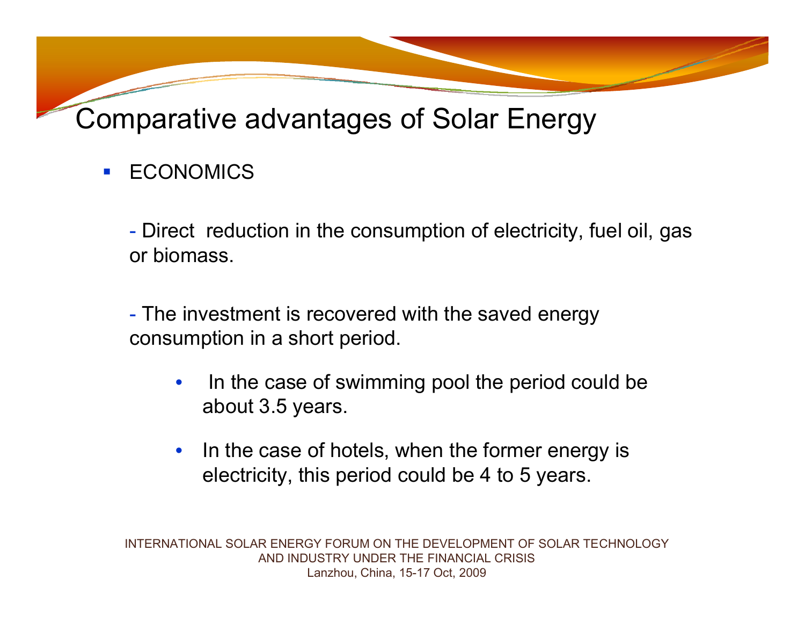Comparative advantages of Solar Energy

 $\overline{\phantom{a}}$ **ECONOMICS** 

> Direct reduction in the consumption of electricity, fuel oil, gas or biomass.

- The investment is recovered with the saved energy consumption in a short period.

- • In the case of swimming pool the period could be about 3.5 years.
- $\bullet$  In the case of hotels, when the former energy is electricity, this period could be 4 to 5 years.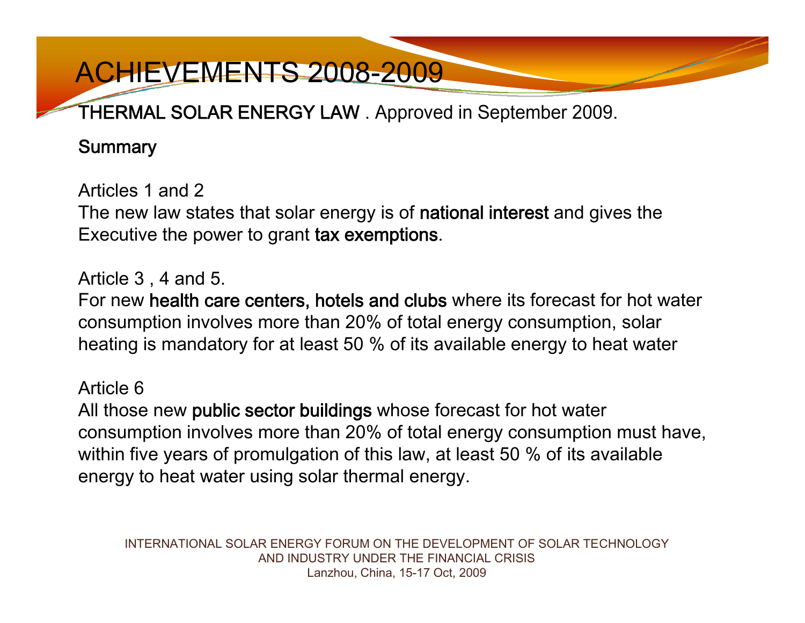### THERMAL SOLAR ENERGY LAW . Approved in September 2009.

### **Summary**

Articles 1 and 2 The new law states that solar energy is of national interest and gives the Executive the power to grant tax exemptions.

### Article 3 , 4 and 5.

For new health care centers, hotels and clubs where its forecast for hot water consumption involves more than 20% of total energy consumption, solar heating is mandatory for at least 50  $\%$  of its available energy to heat water

### Article 6

All those new public sector buildings whose forecast for hot water consumption involves more than 20% of total energy consumption must have, within five years of promulgation of this law, at least 50 % of its available energy to heat water using solar thermal energy.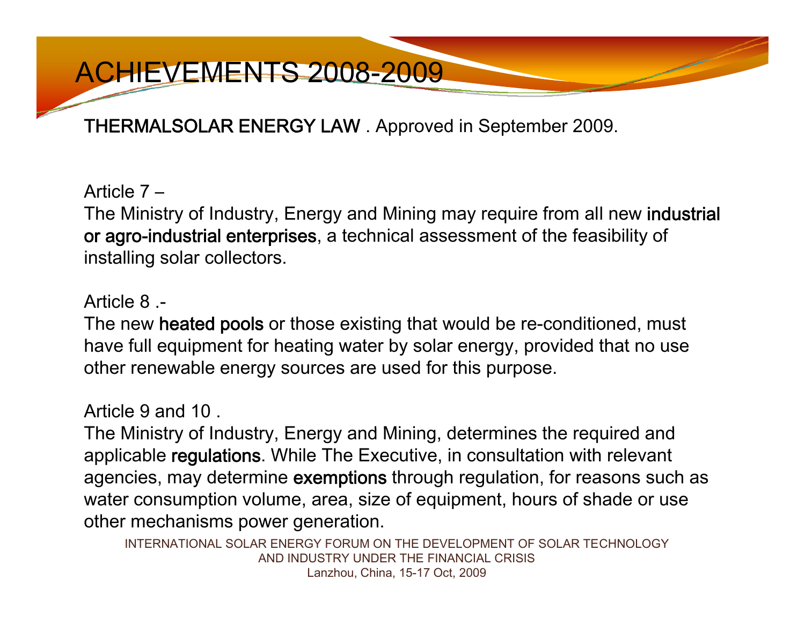THERMALSOLAR ENERGY LAW . Approved in September 2009.

Article 7 –

The Ministry of Industry, Energy and Mining may require from all new industrial or agro-industrial enterprises, a technical assessment of the feasibility of installing solar collectors.

### Article 8 .-

The new heated pools or those existing that would be re-conditioned, must have full equipment for heating water by solar energy, provided that no use other renewable energy sources are used for this purpose.

### Article 9 and 10 .

The Ministry of Industry, Energy and Mining, determines the required and applicable regulations. While The Executive, in consultation with relevant agencies, may determine exemptions through regulation, for reasons such as water consumption volume, area, size of equipment, hours of shade or use other mechanisms power generation.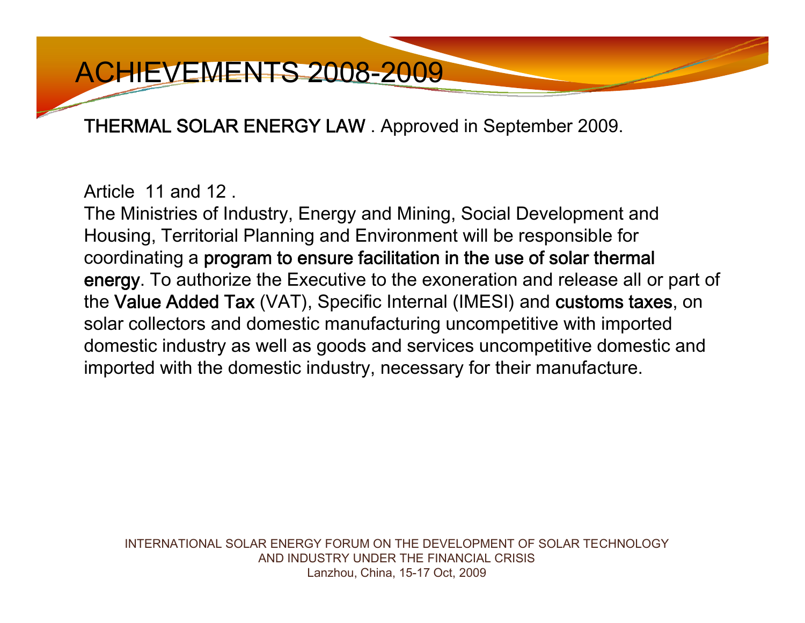THERMAL SOLAR ENERGY LAW . Approved in September 2009.

Article 11 and 12 11 12 .

The Ministries of Industry, Energy and Mining, Social Development and Housing, Territorial Planning and Environment will be responsible for coordinating a program to ensure facilitation in the use of solar thermal energy. To authorize the Executive to the exoneration and release all or part of the Value Added Tax (VAT), Specific Internal (IMESI) and customs taxes, on solar collectors and domestic manufacturing uncompetitive with imported domestic industry as well as goods and services uncompetitive domestic and imported with the domestic industry, necessary for their manufacture.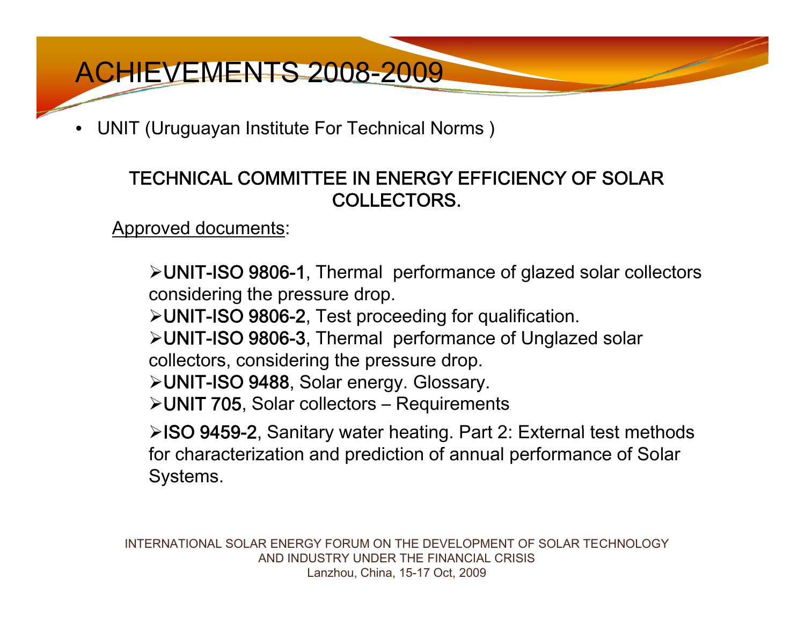•UNIT (Uruguayan Institute For Technical Norms )

### TECHNICAL COMMITTEE IN ENERGY EFFICIENCY OF SOLAR COLLECTORS.

Approved documents:

≻UNIT-ISO 9806-1, Thermal performance of glazed solar collectors considering the pressure drop.

¾UNIT-ISO 9806-2, Test proceeding for qualification.

¾UNIT-ISO 9806-3, Thermal performance of Unglazed solar

collectors, considering the pressure drop.

¾UNIT-ISO 9488, Solar energy. Glossary.

¾UNIT 705, Solar collectors – Requirements.

≻ISO 9459-2, Sanitary water heating. Part 2: External test methods for characterization and prediction of annual performance of Solar Systems.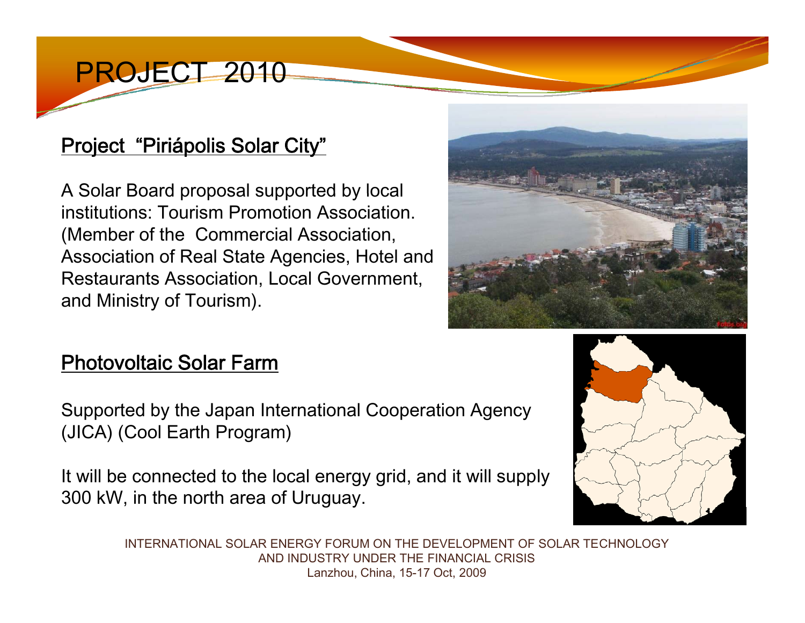### PROJECT 2010

### Project "Piriápolis Solar City"

A Solar Board proposal supported by local institutions: Tourism Promotion Association. (Member of the Commercial Association, Association of Real State Agencies, Hotel and Restaurants Association, Local Government, and Ministry of Tourism).



### Photovoltaic Solar Farm

Supported by the Japan International Cooperation Agency (JICA) (Cool Earth Program)

It will be connected to the local energy grid, and it will supply 300 kW, in the north area of Uruguay.

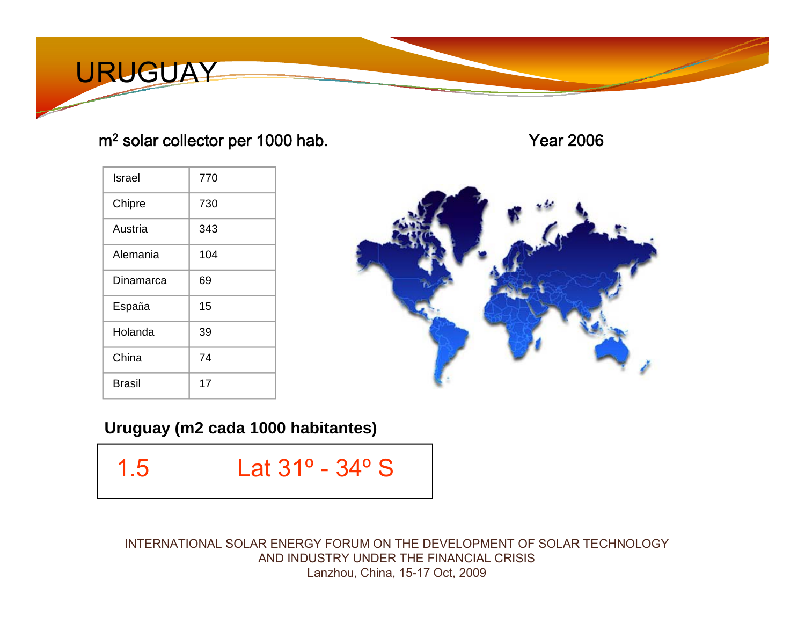

### <sup>m</sup><sup>2</sup> solar collector per 1000 hab.

Year 2006

| Israel        | 770 |
|---------------|-----|
| Chipre        | 730 |
| Austria       | 343 |
| Alemania      | 104 |
| Dinamarca     | 69  |
| España        | 15  |
| Holanda       | 39  |
| China         | 74  |
| <b>Brasil</b> | 17  |



**Uruguay (m2 cada 1000 habitantes)**

- 
- 1.5 Lat 31º 34º S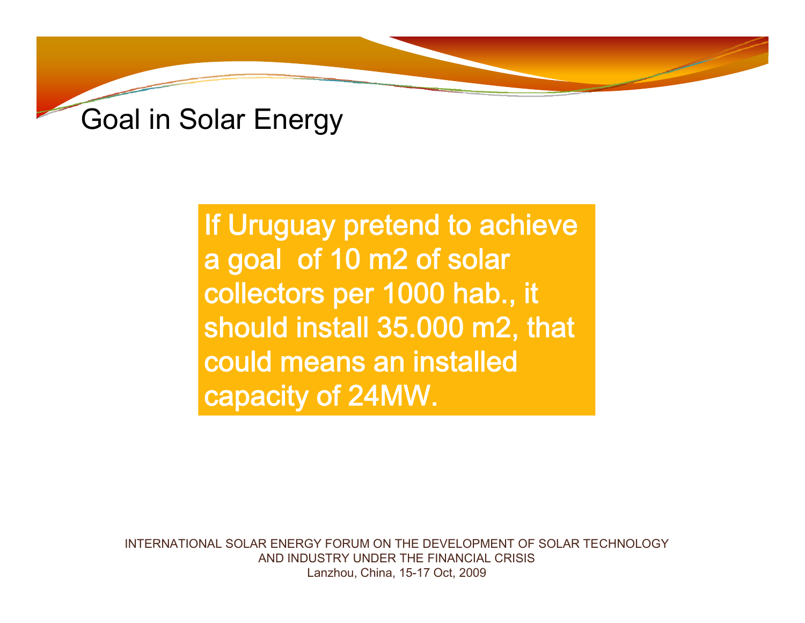

If Uruguay pretend to achieve a goal of 10 m2 of solar collectors per 1000 hab., it should install 35.000 m2, that could means an installed capacity of 24MW.